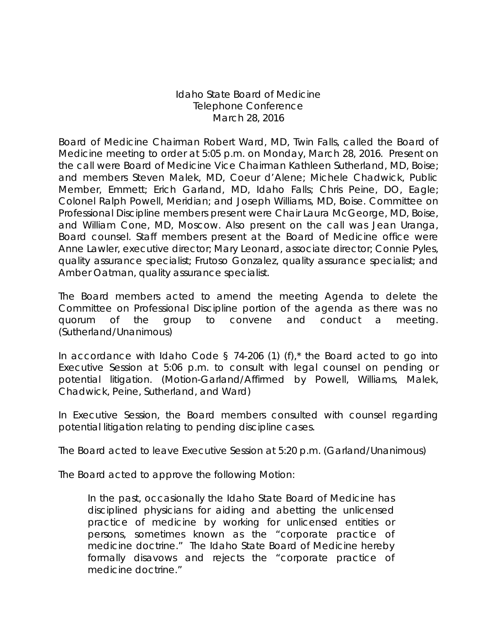## Idaho State Board of Medicine Telephone Conference March 28, 2016

Board of Medicine Chairman Robert Ward, MD, Twin Falls, called the Board of Medicine meeting to order at 5:05 p.m. on Monday, March 28, 2016. Present on the call were Board of Medicine Vice Chairman Kathleen Sutherland, MD, Boise; and members Steven Malek, MD, Coeur d'Alene; Michele Chadwick, Public Member, Emmett; Erich Garland, MD, Idaho Falls; Chris Peine, DO, Eagle; Colonel Ralph Powell, Meridian; and Joseph Williams, MD, Boise. Committee on Professional Discipline members present were Chair Laura McGeorge, MD, Boise, and William Cone, MD, Moscow. Also present on the call was Jean Uranga, Board counsel. Staff members present at the Board of Medicine office were Anne Lawler, executive director; Mary Leonard, associate director; Connie Pyles, quality assurance specialist; Frutoso Gonzalez, quality assurance specialist; and Amber Oatman, quality assurance specialist.

The Board members acted to amend the meeting Agenda to delete the Committee on Professional Discipline portion of the agenda as there was no quorum of the group to convene and conduct a meeting. (Sutherland/Unanimous)

In accordance with Idaho Code § 74-206 (1) (f),\* the Board acted to go into Executive Session at 5:06 p.m. to consult with legal counsel on pending or potential litigation. (Motion-Garland/Affirmed by Powell, Williams, Malek, Chadwick, Peine, Sutherland, and Ward)

In Executive Session, the Board members consulted with counsel regarding potential litigation relating to pending discipline cases.

The Board acted to leave Executive Session at 5:20 p.m. (Garland/Unanimous)

The Board acted to approve the following Motion:

In the past, occasionally the Idaho State Board of Medicine has disciplined physicians for aiding and abetting the unlicensed practice of medicine by working for unlicensed entities or persons, sometimes known as the "corporate practice of medicine doctrine." The Idaho State Board of Medicine hereby formally disavows and rejects the "corporate practice of medicine doctrine."